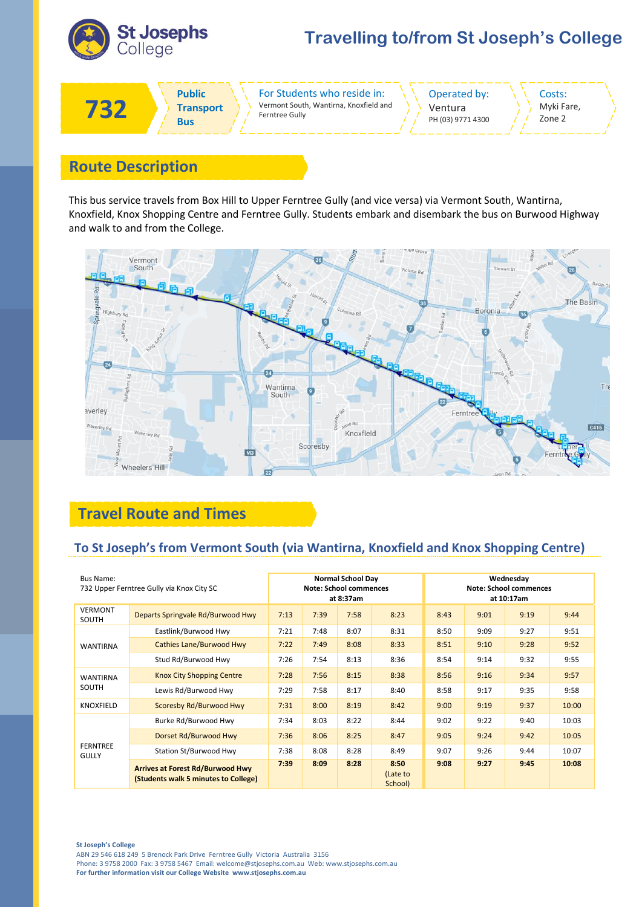

# **Travelling to/from St Joseph's College**



## **Route Description**

This bus service travels from Box Hill to Upper Ferntree Gully (and vice versa) via Vermont South, Wantirna, Knoxfield, Knox Shopping Centre and Ferntree Gully. Students embark and disembark the bus on Burwood Highway and walk to and from the College.



## **Travel Route and Times**

#### **To St Joseph's from Vermont South (via Wantirna, Knoxfield and Knox Shopping Centre)**

| <b>Bus Name:</b>                | 732 Upper Ferntree Gully via Knox City SC                                       |      | <b>Note: School commences</b> | <b>Normal School Day</b><br>at 8:37am |                             |      |      | Wednesday<br><b>Note: School commences</b><br>at 10:17am |       |
|---------------------------------|---------------------------------------------------------------------------------|------|-------------------------------|---------------------------------------|-----------------------------|------|------|----------------------------------------------------------|-------|
| <b>VERMONT</b><br>SOUTH         | Departs Springvale Rd/Burwood Hwy                                               | 7:13 | 7:39                          | 7:58                                  | 8:23                        | 8:43 | 9:01 | 9:19                                                     | 9:44  |
| <b>WANTIRNA</b>                 | Eastlink/Burwood Hwy                                                            | 7:21 | 7:48                          | 8:07                                  | 8:31                        | 8:50 | 9:09 | 9:27                                                     | 9:51  |
|                                 | <b>Cathies Lane/Burwood Hwy</b>                                                 | 7:22 | 7:49                          | 8:08                                  | 8:33                        | 8:51 | 9:10 | 9:28                                                     | 9:52  |
|                                 | Stud Rd/Burwood Hwy                                                             | 7:26 | 7:54                          | 8:13                                  | 8:36                        | 8:54 | 9:14 | 9:32                                                     | 9:55  |
| <b>WANTIRNA</b><br>SOUTH        | <b>Knox City Shopping Centre</b>                                                | 7:28 | 7:56                          | 8:15                                  | 8:38                        | 8:56 | 9:16 | 9:34                                                     | 9:57  |
|                                 | Lewis Rd/Burwood Hwy                                                            | 7:29 | 7:58                          | 8:17                                  | 8:40                        | 8:58 | 9:17 | 9:35                                                     | 9:58  |
| <b>KNOXFIELD</b>                | Scoresby Rd/Burwood Hwy                                                         | 7:31 | 8:00                          | 8:19                                  | 8:42                        | 9:00 | 9:19 | 9:37                                                     | 10:00 |
| <b>FERNTREE</b><br><b>GULLY</b> | Burke Rd/Burwood Hwy                                                            | 7:34 | 8:03                          | 8:22                                  | 8:44                        | 9:02 | 9:22 | 9:40                                                     | 10:03 |
|                                 | Dorset Rd/Burwood Hwy                                                           | 7:36 | 8:06                          | 8:25                                  | 8:47                        | 9:05 | 9:24 | 9:42                                                     | 10:05 |
|                                 | Station St/Burwood Hwy                                                          | 7:38 | 8:08                          | 8:28                                  | 8:49                        | 9:07 | 9:26 | 9:44                                                     | 10:07 |
|                                 | <b>Arrives at Forest Rd/Burwood Hwy</b><br>(Students walk 5 minutes to College) | 7:39 | 8:09                          | 8:28                                  | 8:50<br>(Late to<br>School) | 9:08 | 9:27 | 9:45                                                     | 10:08 |

**St Joseph's College**

ABN 29 546 618 249 5 Brenock Park Drive Ferntree Gully Victoria Australia 3156 Phone: 3 9758 2000 Fax: 3 9758 5467 Email: welcome@stjosephs.com.au Web: www.stjosephs.com.au **For further information visit our College Website www.stjosephs.com.au**